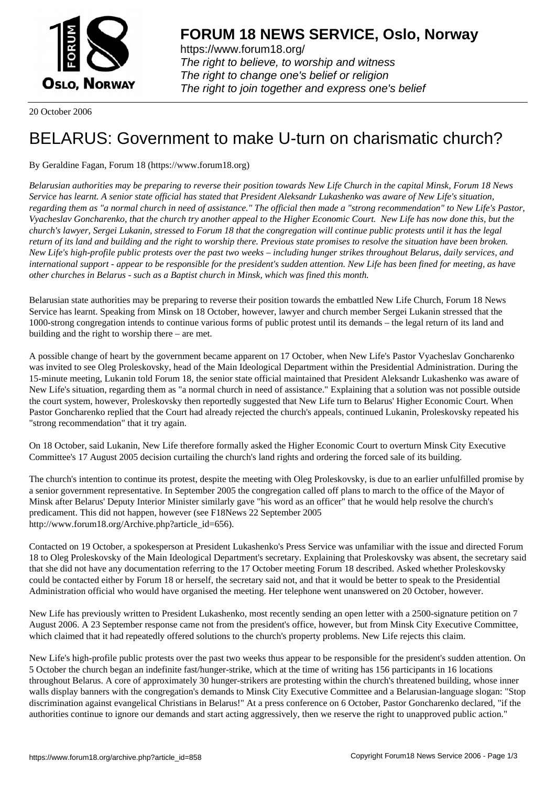

https://www.forum18.org/ The right to believe, to worship and witness The right to change one's belief or religion [The right to join together a](https://www.forum18.org/)nd express one's belief

20 October 2006

## [BELARUS: Gov](https://www.forum18.org)ernment to make U-turn on charismatic church?

By Geraldine Fagan, Forum 18 (https://www.forum18.org)

*Belarusian authorities may be preparing to reverse their position towards New Life Church in the capital Minsk, Forum 18 News Service has learnt. A senior state official has stated that President Aleksandr Lukashenko was aware of New Life's situation, regarding them as "a normal church in need of assistance." The official then made a "strong recommendation" to New Life's Pastor, Vyacheslav Goncharenko, that the church try another appeal to the Higher Economic Court. New Life has now done this, but the church's lawyer, Sergei Lukanin, stressed to Forum 18 that the congregation will continue public protests until it has the legal return of its land and building and the right to worship there. Previous state promises to resolve the situation have been broken. New Life's high-profile public protests over the past two weeks – including hunger strikes throughout Belarus, daily services, and international support - appear to be responsible for the president's sudden attention. New Life has been fined for meeting, as have other churches in Belarus - such as a Baptist church in Minsk, which was fined this month.*

Belarusian state authorities may be preparing to reverse their position towards the embattled New Life Church, Forum 18 News Service has learnt. Speaking from Minsk on 18 October, however, lawyer and church member Sergei Lukanin stressed that the 1000-strong congregation intends to continue various forms of public protest until its demands – the legal return of its land and building and the right to worship there – are met.

A possible change of heart by the government became apparent on 17 October, when New Life's Pastor Vyacheslav Goncharenko was invited to see Oleg Proleskovsky, head of the Main Ideological Department within the Presidential Administration. During the 15-minute meeting, Lukanin told Forum 18, the senior state official maintained that President Aleksandr Lukashenko was aware of New Life's situation, regarding them as "a normal church in need of assistance." Explaining that a solution was not possible outside the court system, however, Proleskovsky then reportedly suggested that New Life turn to Belarus' Higher Economic Court. When Pastor Goncharenko replied that the Court had already rejected the church's appeals, continued Lukanin, Proleskovsky repeated his "strong recommendation" that it try again.

On 18 October, said Lukanin, New Life therefore formally asked the Higher Economic Court to overturn Minsk City Executive Committee's 17 August 2005 decision curtailing the church's land rights and ordering the forced sale of its building.

The church's intention to continue its protest, despite the meeting with Oleg Proleskovsky, is due to an earlier unfulfilled promise by a senior government representative. In September 2005 the congregation called off plans to march to the office of the Mayor of Minsk after Belarus' Deputy Interior Minister similarly gave "his word as an officer" that he would help resolve the church's predicament. This did not happen, however (see F18News 22 September 2005 http://www.forum18.org/Archive.php?article\_id=656).

Contacted on 19 October, a spokesperson at President Lukashenko's Press Service was unfamiliar with the issue and directed Forum 18 to Oleg Proleskovsky of the Main Ideological Department's secretary. Explaining that Proleskovsky was absent, the secretary said that she did not have any documentation referring to the 17 October meeting Forum 18 described. Asked whether Proleskovsky could be contacted either by Forum 18 or herself, the secretary said not, and that it would be better to speak to the Presidential Administration official who would have organised the meeting. Her telephone went unanswered on 20 October, however.

New Life has previously written to President Lukashenko, most recently sending an open letter with a 2500-signature petition on 7 August 2006. A 23 September response came not from the president's office, however, but from Minsk City Executive Committee, which claimed that it had repeatedly offered solutions to the church's property problems. New Life rejects this claim.

New Life's high-profile public protests over the past two weeks thus appear to be responsible for the president's sudden attention. On 5 October the church began an indefinite fast/hunger-strike, which at the time of writing has 156 participants in 16 locations throughout Belarus. A core of approximately 30 hunger-strikers are protesting within the church's threatened building, whose inner walls display banners with the congregation's demands to Minsk City Executive Committee and a Belarusian-language slogan: "Stop discrimination against evangelical Christians in Belarus!" At a press conference on 6 October, Pastor Goncharenko declared, "if the authorities continue to ignore our demands and start acting aggressively, then we reserve the right to unapproved public action."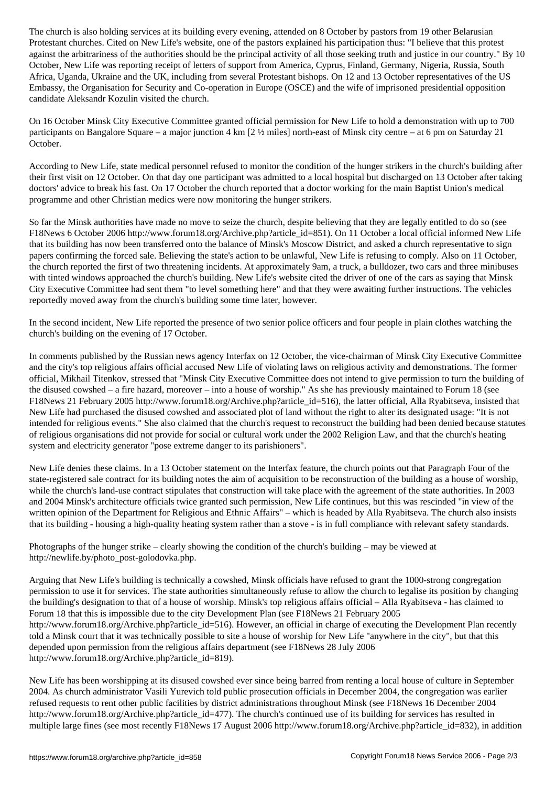Protestant churches. Cited on New Life's website, one of the pastors explained his participation thus: "I believe that this protest against the arbitrariness of the authorities should be the principal activity of all those seeking truth and justice in our country." By 10 October, New Life was reporting receipt of letters of support from America, Cyprus, Finland, Germany, Nigeria, Russia, South Africa, Uganda, Ukraine and the UK, including from several Protestant bishops. On 12 and 13 October representatives of the US Embassy, the Organisation for Security and Co-operation in Europe (OSCE) and the wife of imprisoned presidential opposition candidate Aleksandr Kozulin visited the church.

On 16 October Minsk City Executive Committee granted official permission for New Life to hold a demonstration with up to 700 participants on Bangalore Square – a major junction 4 km  $[2 \frac{1}{2}$  miles] north-east of Minsk city centre – at 6 pm on Saturday 21 October.

According to New Life, state medical personnel refused to monitor the condition of the hunger strikers in the church's building after their first visit on 12 October. On that day one participant was admitted to a local hospital but discharged on 13 October after taking doctors' advice to break his fast. On 17 October the church reported that a doctor working for the main Baptist Union's medical programme and other Christian medics were now monitoring the hunger strikers.

So far the Minsk authorities have made no move to seize the church, despite believing that they are legally entitled to do so (see F18News 6 October 2006 http://www.forum18.org/Archive.php?article\_id=851). On 11 October a local official informed New Life that its building has now been transferred onto the balance of Minsk's Moscow District, and asked a church representative to sign papers confirming the forced sale. Believing the state's action to be unlawful, New Life is refusing to comply. Also on 11 October, the church reported the first of two threatening incidents. At approximately 9am, a truck, a bulldozer, two cars and three minibuses with tinted windows approached the church's building. New Life's website cited the driver of one of the cars as saying that Minsk City Executive Committee had sent them "to level something here" and that they were awaiting further instructions. The vehicles reportedly moved away from the church's building some time later, however.

In the second incident, New Life reported the presence of two senior police officers and four people in plain clothes watching the church's building on the evening of 17 October.

In comments published by the Russian news agency Interfax on 12 October, the vice-chairman of Minsk City Executive Committee and the city's top religious affairs official accused New Life of violating laws on religious activity and demonstrations. The former official, Mikhail Titenkov, stressed that "Minsk City Executive Committee does not intend to give permission to turn the building of the disused cowshed – a fire hazard, moreover – into a house of worship." As she has previously maintained to Forum 18 (see F18News 21 February 2005 http://www.forum18.org/Archive.php?article\_id=516), the latter official, Alla Ryabitseva, insisted that New Life had purchased the disused cowshed and associated plot of land without the right to alter its designated usage: "It is not intended for religious events." She also claimed that the church's request to reconstruct the building had been denied because statutes of religious organisations did not provide for social or cultural work under the 2002 Religion Law, and that the church's heating system and electricity generator "pose extreme danger to its parishioners".

New Life denies these claims. In a 13 October statement on the Interfax feature, the church points out that Paragraph Four of the state-registered sale contract for its building notes the aim of acquisition to be reconstruction of the building as a house of worship, while the church's land-use contract stipulates that construction will take place with the agreement of the state authorities. In 2003 and 2004 Minsk's architecture officials twice granted such permission, New Life continues, but this was rescinded "in view of the written opinion of the Department for Religious and Ethnic Affairs" – which is headed by Alla Ryabitseva. The church also insists that its building - housing a high-quality heating system rather than a stove - is in full compliance with relevant safety standards.

Photographs of the hunger strike – clearly showing the condition of the church's building – may be viewed at http://newlife.by/photo\_post-golodovka.php.

Arguing that New Life's building is technically a cowshed, Minsk officials have refused to grant the 1000-strong congregation permission to use it for services. The state authorities simultaneously refuse to allow the church to legalise its position by changing the building's designation to that of a house of worship. Minsk's top religious affairs official – Alla Ryabitseva - has claimed to Forum 18 that this is impossible due to the city Development Plan (see F18News 21 February 2005 http://www.forum18.org/Archive.php?article\_id=516). However, an official in charge of executing the Development Plan recently told a Minsk court that it was technically possible to site a house of worship for New Life "anywhere in the city", but that this depended upon permission from the religious affairs department (see F18News 28 July 2006 http://www.forum18.org/Archive.php?article\_id=819).

New Life has been worshipping at its disused cowshed ever since being barred from renting a local house of culture in September 2004. As church administrator Vasili Yurevich told public prosecution officials in December 2004, the congregation was earlier refused requests to rent other public facilities by district administrations throughout Minsk (see F18News 16 December 2004 http://www.forum18.org/Archive.php?article\_id=477). The church's continued use of its building for services has resulted in multiple large fines (see most recently F18News 17 August 2006 http://www.forum18.org/Archive.php?article\_id=832), in addition